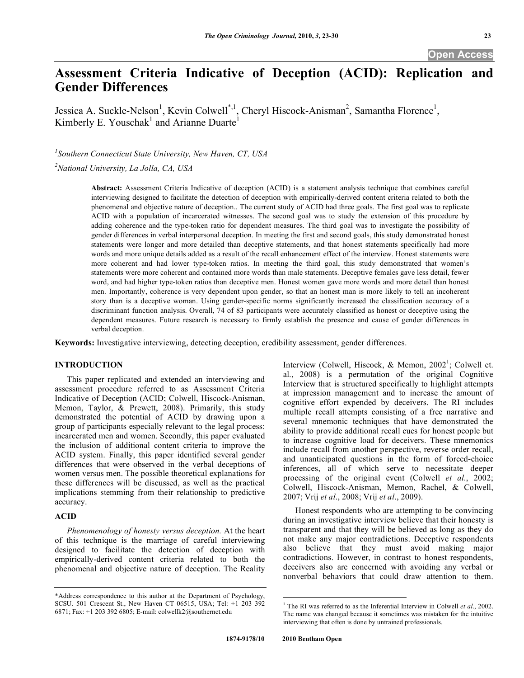# **Assessment Criteria Indicative of Deception (ACID): Replication and Gender Differences**

Jessica A. Suckle-Nelson<sup>1</sup>, Kevin Colwell<sup>\*,1</sup>, Cheryl Hiscock-Anisman<sup>2</sup>, Samantha Florence<sup>1</sup>, Kimberly E. Youschak<sup>1</sup> and Arianne Duarte<sup>1</sup>

*1 Southern Connecticut State University, New Haven, CT, USA* 

*2 National University, La Jolla, CA, USA* 

**Abstract:** Assessment Criteria Indicative of deception (ACID) is a statement analysis technique that combines careful interviewing designed to facilitate the detection of deception with empirically-derived content criteria related to both the phenomenal and objective nature of deception.. The current study of ACID had three goals. The first goal was to replicate ACID with a population of incarcerated witnesses. The second goal was to study the extension of this procedure by adding coherence and the type-token ratio for dependent measures. The third goal was to investigate the possibility of gender differences in verbal interpersonal deception. In meeting the first and second goals, this study demonstrated honest statements were longer and more detailed than deceptive statements, and that honest statements specifically had more words and more unique details added as a result of the recall enhancement effect of the interview. Honest statements were more coherent and had lower type-token ratios. In meeting the third goal, this study demonstrated that women's statements were more coherent and contained more words than male statements. Deceptive females gave less detail, fewer word, and had higher type-token ratios than deceptive men. Honest women gave more words and more detail than honest men. Importantly, coherence is very dependent upon gender, so that an honest man is more likely to tell an incoherent story than is a deceptive woman. Using gender-specific norms significantly increased the classification accuracy of a discriminant function analysis. Overall, 74 of 83 participants were accurately classified as honest or deceptive using the dependent measures. Future research is necessary to firmly establish the presence and cause of gender differences in verbal deception.

**Keywords:** Investigative interviewing, detecting deception, credibility assessment, gender differences.

# **INTRODUCTION**

 This paper replicated and extended an interviewing and assessment procedure referred to as Assessment Criteria Indicative of Deception (ACID; Colwell, Hiscock-Anisman, Memon, Taylor, & Prewett, 2008). Primarily, this study demonstrated the potential of ACID by drawing upon a group of participants especially relevant to the legal process: incarcerated men and women. Secondly, this paper evaluated the inclusion of additional content criteria to improve the ACID system. Finally, this paper identified several gender differences that were observed in the verbal deceptions of women versus men. The possible theoretical explanations for these differences will be discussed, as well as the practical implications stemming from their relationship to predictive accuracy.

# **ACID**

*Phenomenology of honesty versus deception.* At the heart of this technique is the marriage of careful interviewing designed to facilitate the detection of deception with empirically-derived content criteria related to both the phenomenal and objective nature of deception. The Reality

Interview (Colwell, Hiscock, & Memon,  $2002^1$ ; Colwell et. al., 2008) is a permutation of the original Cognitive Interview that is structured specifically to highlight attempts at impression management and to increase the amount of cognitive effort expended by deceivers. The RI includes multiple recall attempts consisting of a free narrative and several mnemonic techniques that have demonstrated the ability to provide additional recall cues for honest people but to increase cognitive load for deceivers. These mnemonics include recall from another perspective, reverse order recall, and unanticipated questions in the form of forced-choice inferences, all of which serve to necessitate deeper processing of the original event (Colwell *et al*., 2002; Colwell, Hiscock-Anisman, Memon, Rachel, & Colwell, 2007; Vrij *et al*., 2008; Vrij *et al*., 2009).

 Honest respondents who are attempting to be convincing during an investigative interview believe that their honesty is transparent and that they will be believed as long as they do not make any major contradictions. Deceptive respondents also believe that they must avoid making major contradictions. However, in contrast to honest respondents, deceivers also are concerned with avoiding any verbal or nonverbal behaviors that could draw attention to them.

 $\overline{a}$ 

<sup>\*</sup>Address correspondence to this author at the Department of Psychology, SCSU. 501 Crescent St., New Haven CT 06515, USA; Tel: +1 203 392 6871; Fax: +1 203 392 6805; E-mail: colwellk2@southernct.edu

<sup>&</sup>lt;sup>1</sup> The RI was referred to as the Inferential Interview in Colwell *et al.*, 2002. The name was changed because it sometimes was mistaken for the intuitive interviewing that often is done by untrained professionals.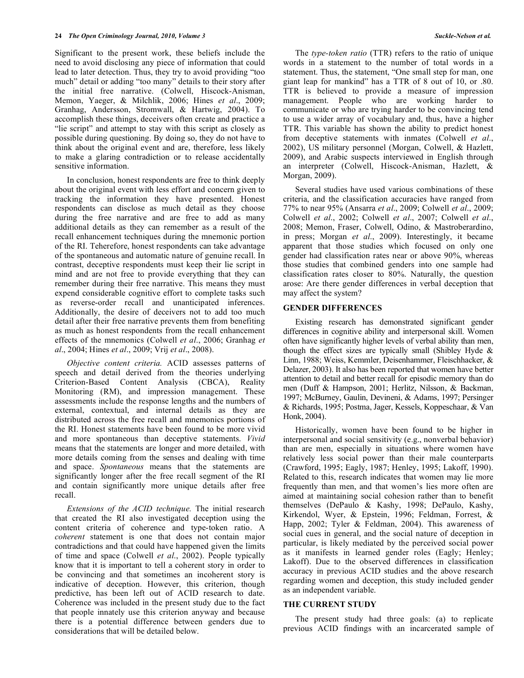Significant to the present work, these beliefs include the need to avoid disclosing any piece of information that could lead to later detection. Thus, they try to avoid providing "too much" detail or adding "too many" details to their story after the initial free narrative. (Colwell, Hiscock-Anisman, Memon, Yaeger, & Milchlik, 2006; Hines *et al*., 2009; Granhag, Andersson, Stromwall, & Hartwig, 2004). To accomplish these things, deceivers often create and practice a "lie script" and attempt to stay with this script as closely as possible during questioning. By doing so, they do not have to think about the original event and are, therefore, less likely to make a glaring contradiction or to release accidentally sensitive information.

 In conclusion, honest respondents are free to think deeply about the original event with less effort and concern given to tracking the information they have presented. Honest respondents can disclose as much detail as they choose during the free narrative and are free to add as many additional details as they can remember as a result of the recall enhancement techniques during the mnemonic portion of the RI. Teherefore, honest respondents can take advantage of the spontaneous and automatic nature of genuine recall. In contrast, deceptive respondents must keep their lie script in mind and are not free to provide everything that they can remember during their free narrative. This means they must expend considerable cognitive effort to complete tasks such as reverse-order recall and unanticipated inferences. Additionally, the desire of deceivers not to add too much detail after their free narrative prevents them from benefiting as much as honest respondents from the recall enhancement effects of the mnemonics (Colwell *et al*., 2006; Granhag *et al*., 2004; Hines *et al*., 2009; Vrij *et al*., 2008).

*Objective content criteria.* ACID assesses patterns of speech and detail derived from the theories underlying Criterion-Based Content Analysis (CBCA), Reality Monitoring (RM), and impression management. These assessments include the response lengths and the numbers of external, contextual, and internal details as they are distributed across the free recall and mnemonics portions of the RI. Honest statements have been found to be more vivid and more spontaneous than deceptive statements. *Vivid* means that the statements are longer and more detailed, with more details coming from the senses and dealing with time and space. *Spontaneous* means that the statements are significantly longer after the free recall segment of the RI and contain significantly more unique details after free recall.

*Extensions of the ACID technique.* The initial research that created the RI also investigated deception using the content criteria of coherence and type-token ratio. A *coherent* statement is one that does not contain major contradictions and that could have happened given the limits of time and space (Colwell *et al*., 2002). People typically know that it is important to tell a coherent story in order to be convincing and that sometimes an incoherent story is indicative of deception. However, this criterion, though predictive, has been left out of ACID research to date. Coherence was included in the present study due to the fact that people innately use this criterion anyway and because there is a potential difference between genders due to considerations that will be detailed below.

 The *type-token ratio* (TTR) refers to the ratio of unique words in a statement to the number of total words in a statement. Thus, the statement, "One small step for man, one giant leap for mankind" has a TTR of 8 out of 10, or .80. TTR is believed to provide a measure of impression management. People who are working harder to communicate or who are trying harder to be convincing tend to use a wider array of vocabulary and, thus, have a higher TTR. This variable has shown the ability to predict honest from deceptive statements with inmates (Colwell *et al*., 2002), US military personnel (Morgan, Colwell, & Hazlett, 2009), and Arabic suspects interviewed in English through an interpreter (Colwell, Hiscock-Anisman, Hazlett, & Morgan, 2009).

 Several studies have used various combinations of these criteria, and the classification accuracies have ranged from 77% to near 95% (Ansarra *et al*., 2009; Colwell *et al*., 2009; Colwell *et al*., 2002; Colwell *et al*., 2007; Colwell *et al*., 2008; Memon, Fraser, Colwell, Odino, & Mastroberardino, in press; Morgan *et al*., 2009). Interestingly, it became apparent that those studies which focused on only one gender had classification rates near or above 90%, whereas those studies that combined genders into one sample had classification rates closer to 80%. Naturally, the question arose: Are there gender differences in verbal deception that may affect the system?

# **GENDER DIFFERENCES**

 Existing research has demonstrated significant gender differences in cognitive ability and interpersonal skill. Women often have significantly higher levels of verbal ability than men, though the effect sizes are typically small (Shibley Hyde  $\&$ Linn, 1988; Weiss, Kemmler, Deisenhammer, Fleischhacker, & Delazer, 2003). It also has been reported that women have better attention to detail and better recall for episodic memory than do men (Duff & Hampson, 2001; Herlitz, Nilsson, & Backman, 1997; McBurney, Gaulin, Devineni, & Adams, 1997; Persinger & Richards, 1995; Postma, Jager, Kessels, Koppeschaar, & Van Honk, 2004).

 Historically, women have been found to be higher in interpersonal and social sensitivity (e.g., nonverbal behavior) than are men, especially in situations where women have relatively less social power than their male counterparts (Crawford, 1995; Eagly, 1987; Henley, 1995; Lakoff, 1990). Related to this, research indicates that women may lie more frequently than men, and that women's lies more often are aimed at maintaining social cohesion rather than to benefit themselves (DePaulo & Kashy, 1998; DePaulo, Kashy, Kirkendol, Wyer, & Epstein, 1996; Feldman, Forrest, & Happ, 2002; Tyler & Feldman, 2004). This awareness of social cues in general, and the social nature of deception in particular, is likely mediated by the perceived social power as it manifests in learned gender roles (Eagly; Henley; Lakoff). Due to the observed differences in classification accuracy in previous ACID studies and the above research regarding women and deception, this study included gender as an independent variable.

### **THE CURRENT STUDY**

The present study had three goals: (a) to replicate previous ACID findings with an incarcerated sample of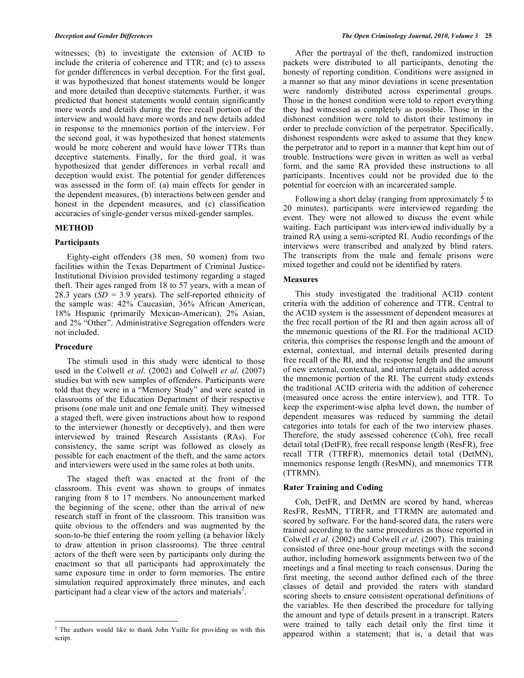witnesses; (b) to investigate the extension of ACID to include the criteria of coherence and TTR; and (c) to assess for gender differences in verbal deception. For the first goal, it was hypothesized that honest statements would be longer and more detailed than deceptive statements. Further, it was predicted that honest statements would contain significantly more words and details during the free recall portion of the interview and would have more words and new details added in response to the mnemonics portion of the interview. For the second goal, it was hypothesized that honest statements would be more coherent and would have lower TTRs than deceptive statements. Finally, for the third goal, it was hypothesized that gender differences in verbal recall and deception would exist. The potential for gender differences was assessed in the form of: (a) main effects for gender in the dependent measures, (b) interactions between gender and honest in the dependent measures, and (c) classification accuracies of single-gender versus mixed-gender samples.

# **METHOD**

# **Participants**

 Eighty-eight offenders (38 men, 50 women) from two facilities within the Texas Department of Criminal Justice-Institutional Division provided testimony regarding a staged theft. Their ages ranged from 18 to 57 years, with a mean of 28.3 years ( $SD = 3.9$  years). The self-reported ethnicity of the sample was: 42% Caucasian, 36% African American, 18% Hispanic (primarily Mexican-American), 2% Asian, and 2% "Other". Administrative Segregation offenders were not included.

# **Procedure**

<u>.</u>

 The stimuli used in this study were identical to those used in the Colwell *et al*. (2002) and Colwell *et al*. (2007) studies but with new samples of offenders. Participants were told that they were in a "Memory Study" and were seated in classrooms of the Education Department of their respective prisons (one male unit and one female unit). They witnessed a staged theft, were given instructions about how to respond to the interviewer (honestly or deceptively), and then were interviewed by trained Research Assistants (RAs). For consistency, the same script was followed as closely as possible for each enactment of the theft, and the same actors and interviewers were used in the same roles at both units.

 The staged theft was enacted at the front of the classroom. This event was shown to groups of inmates ranging from 8 to 17 members. No announcement marked the beginning of the scene, other than the arrival of new research staff in front of the classroom. This transition was quite obvious to the offenders and was augmented by the soon-to-be thief entering the room yelling (a behavior likely to draw attention in prison classrooms). The three central actors of the theft were seen by participants only during the enactment so that all participants had approximately the same exposure time in order to form memories. The entire simulation required approximately three minutes, and each participant had a clear view of the actors and materials<sup>2</sup>.

 After the portrayal of the theft, randomized instruction packets were distributed to all participants, denoting the honesty of reporting condition. Conditions were assigned in a manner so that any minor deviations in scene presentation were randomly distributed across experimental groups. Those in the honest condition were told to report everything they had witnessed as completely as possible. Those in the dishonest condition were told to distort their testimony in order to preclude conviction of the perpetrator. Specifically, dishonest respondents were asked to assume that they knew the perpetrator and to report in a manner that kept him out of trouble. Instructions were given in written as well as verbal form, and the same RA provided these instructions to all participants. Incentives could not be provided due to the potential for coercion with an incarcerated sample.

 Following a short delay (ranging from approximately 5 to 20 minutes), participants were interviewed regarding the event. They were not allowed to discuss the event while waiting. Each participant was interviewed individually by a trained RA using a semi-scripted RI. Audio recordings of the interviews were transcribed and analyzed by blind raters. The transcripts from the male and female prisons were mixed together and could not be identified by raters.

# **Measures**

 This study investigated the traditional ACID content criteria with the addition of coherence and TTR. Central to the ACID system is the assessment of dependent measures at the free recall portion of the RI and then again across all of the mnemonic questions of the RI. For the traditional ACID criteria, this comprises the response length and the amount of external, contextual, and internal details presented during free recall of the RI, and the response length and the amount of new external, contextual, and internal details added across the mnemonic portion of the RI. The current study extends the traditional ACID criteria with the addition of coherence (measured once across the entire interview), and TTR. To keep the experiment-wise alpha level down, the number of dependent measures was reduced by summing the detail categories into totals for each of the two interview phases. Therefore, the study assessed coherence (Coh), free recall detail total (DetFR), free recall response length (ResFR), free recall TTR (TTRFR), mnemonics detail total (DetMN), mnemonics response length (ResMN), and mnemonics TTR (TTRMN).

### **Rater Training and Coding**

 Coh, DetFR, and DetMN are scored by hand, whereas ResFR, ResMN, TTRFR, and TTRMN are automated and scored by software. For the hand-scored data, the raters were trained according to the same procedures as those reported in Colwell *et al*. (2002) and Colwell *et al*. (2007). This training consisted of three one-hour group meetings with the second author, including homework assignments between two of the meetings and a final meeting to reach consensus. During the first meeting, the second author defined each of the three classes of detail and provided the raters with standard scoring sheets to ensure consistent operational definitions of the variables. He then described the procedure for tallying the amount and type of details present in a transcript. Raters were trained to tally each detail only the first time it appeared within a statement; that is, a detail that was

<sup>&</sup>lt;sup>2</sup> The authors would like to thank John Yuille for providing us with this script.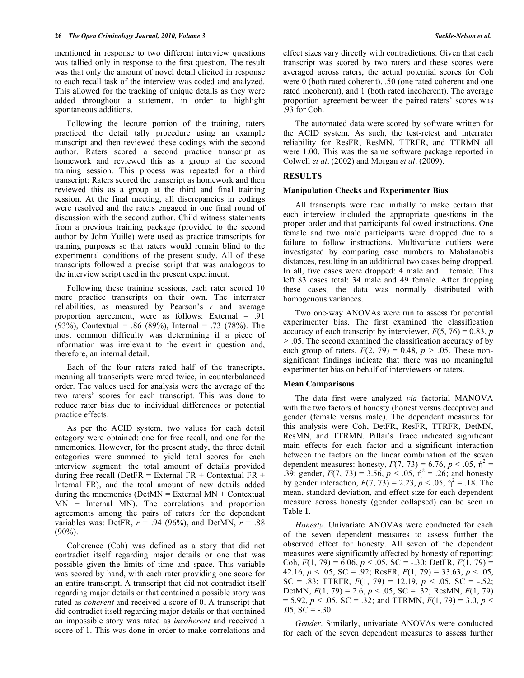mentioned in response to two different interview questions was tallied only in response to the first question. The result was that only the amount of novel detail elicited in response to each recall task of the interview was coded and analyzed. This allowed for the tracking of unique details as they were added throughout a statement, in order to highlight spontaneous additions.

 Following the lecture portion of the training, raters practiced the detail tally procedure using an example transcript and then reviewed these codings with the second author. Raters scored a second practice transcript as homework and reviewed this as a group at the second training session. This process was repeated for a third transcript: Raters scored the transcript as homework and then reviewed this as a group at the third and final training session. At the final meeting, all discrepancies in codings were resolved and the raters engaged in one final round of discussion with the second author. Child witness statements from a previous training package (provided to the second author by John Yuille) were used as practice transcripts for training purposes so that raters would remain blind to the experimental conditions of the present study. All of these transcripts followed a precise script that was analogous to the interview script used in the present experiment.

 Following these training sessions, each rater scored 10 more practice transcripts on their own. The interrater reliabilities, as measured by Pearson's *r* and average proportion agreement, were as follows: External = .91 (93%), Contextual = .86 (89%), Internal = .73 (78%). The most common difficulty was determining if a piece of information was irrelevant to the event in question and, therefore, an internal detail.

 Each of the four raters rated half of the transcripts, meaning all transcripts were rated twice, in counterbalanced order. The values used for analysis were the average of the two raters' scores for each transcript. This was done to reduce rater bias due to individual differences or potential practice effects.

 As per the ACID system, two values for each detail category were obtained: one for free recall, and one for the mnemonics. However, for the present study, the three detail categories were summed to yield total scores for each interview segment: the total amount of details provided during free recall (DetFR = External FR + Contextual FR + Internal FR), and the total amount of new details added during the mnemonics ( $DetMN = External MN + Contextual$ MN + Internal MN). The correlations and proportion agreements among the pairs of raters for the dependent variables was: DetFR,  $r = .94$  (96%), and DetMN,  $r = .88$  $(90\%)$ .

 Coherence (Coh) was defined as a story that did not contradict itself regarding major details or one that was possible given the limits of time and space. This variable was scored by hand, with each rater providing one score for an entire transcript. A transcript that did not contradict itself regarding major details or that contained a possible story was rated as *coherent* and received a score of 0. A transcript that did contradict itself regarding major details or that contained an impossible story was rated as *incoherent* and received a score of 1. This was done in order to make correlations and

effect sizes vary directly with contradictions. Given that each transcript was scored by two raters and these scores were averaged across raters, the actual potential scores for Coh were 0 (both rated coherent), .50 (one rated coherent and one rated incoherent), and 1 (both rated incoherent). The average proportion agreement between the paired raters' scores was .93 for Coh.

 The automated data were scored by software written for the ACID system. As such, the test-retest and interrater reliability for ResFR, ResMN, TTRFR, and TTRMN all were 1.00. This was the same software package reported in Colwell *et al*. (2002) and Morgan *et al*. (2009).

### **RESULTS**

#### **Manipulation Checks and Experimenter Bias**

All transcripts were read initially to make certain that each interview included the appropriate questions in the proper order and that participants followed instructions. One female and two male participants were dropped due to a failure to follow instructions. Multivariate outliers were investigated by comparing case numbers to Mahalanobis distances, resulting in an additional two cases being dropped. In all, five cases were dropped: 4 male and 1 female. This left 83 cases total: 34 male and 49 female. After dropping these cases, the data was normally distributed with homogenous variances.

 Two one-way ANOVAs were run to assess for potential experimenter bias. The first examined the classification accuracy of each transcript by interviewer,  $F(5, 76) = 0.83$ , *p >* .05. The second examined the classification accuracy of by each group of raters,  $F(2, 79) = 0.48$ ,  $p > .05$ . These nonsignificant findings indicate that there was no meaningful experimenter bias on behalf of interviewers or raters.

### **Mean Comparisons**

The data first were analyzed *via* factorial MANOVA with the two factors of honesty (honest versus deceptive) and gender (female versus male). The dependent measures for this analysis were Coh, DetFR, ResFR, TTRFR, DetMN, ResMN, and TTRMN. Pillai's Trace indicated significant main effects for each factor and a significant interaction between the factors on the linear combination of the seven dependent measures: honesty,  $F(7, 73) = 6.76$ ,  $p < .05$ ,  $\hat{\eta}^2 =$ .39; gender,  $F(7, 73) = 3.56$ ,  $p < .05$ ,  $\hat{\eta}^2 = .26$ ; and honesty by gender interaction,  $F(7, 73) = 2.23$ ,  $p < .05$ ,  $\hat{n}^2 = .18$ . The mean, standard deviation, and effect size for each dependent measure across honesty (gender collapsed) can be seen in Table **1**.

*Honesty*. Univariate ANOVAs were conducted for each of the seven dependent measures to assess further the observed effect for honesty. All seven of the dependent measures were significantly affected by honesty of reporting: Coh,  $F(1, 79) = 6.06$ ,  $p < .05$ ,  $SC = -.30$ ; DetFR,  $F(1, 79) =$ 42.16,  $p < .05$ , SC = .92; ResFR,  $F(1, 79) = 33.63$ ,  $p < .05$ , SC = .83; TTRFR,  $F(1, 79) = 12.19$ ,  $p < .05$ , SC = -.52; DetMN, *F*(1, 79) = 2.6, *p* < .05, SC = .32; ResMN, *F*(1, 79)  $= 5.92, p < .05, SC = .32$ ; and TTRMN,  $F(1, 79) = 3.0, p <$  $.05, SC = -.30.$ 

*Gender*. Similarly, univariate ANOVAs were conducted for each of the seven dependent measures to assess further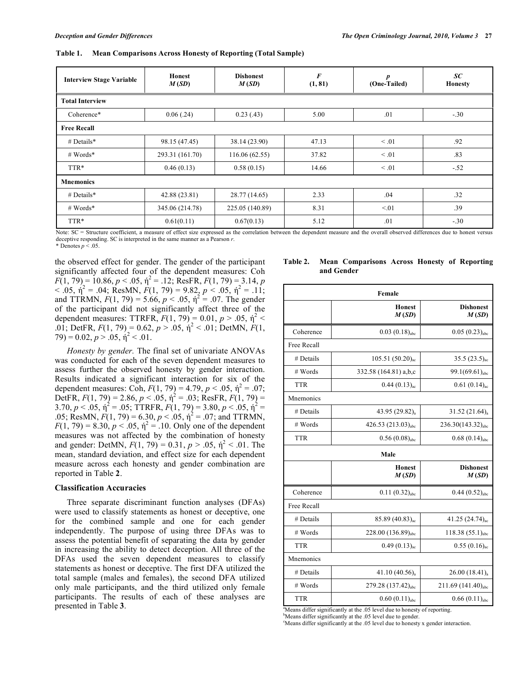| <b>Interview Stage Variable</b> | Honest<br>M(SD) | <b>Dishonest</b><br>M(SD) | $\boldsymbol{F}$<br>(1, 81) | $\boldsymbol{p}$<br>(One-Tailed) | SC<br><b>Honesty</b> |  |  |
|---------------------------------|-----------------|---------------------------|-----------------------------|----------------------------------|----------------------|--|--|
| <b>Total Interview</b>          |                 |                           |                             |                                  |                      |  |  |
| Coherence*                      | 0.06(0.24)      | 0.23(0.43)                | 5.00                        | .01                              | $-.30$               |  |  |
| <b>Free Recall</b>              |                 |                           |                             |                                  |                      |  |  |
| # Details*                      | 98.15 (47.45)   | 38.14 (23.90)             | 47.13                       | $\leq .01$                       | .92                  |  |  |
| # Words*                        | 293.31 (161.70) | 116.06(62.55)             | 37.82                       | $\leq .01$                       | .83                  |  |  |
| TTR*                            | 0.46(0.13)      | 0.58(0.15)                | 14.66                       | $\leq .01$                       | $-.52$               |  |  |
| <b>Mnemonics</b>                |                 |                           |                             |                                  |                      |  |  |
| # Details*                      | 42.88 (23.81)   | 28.77 (14.65)             | 2.33                        | .04                              | .32                  |  |  |
| # Words*                        | 345.06 (214.78) | 225.05 (140.89)           | 8.31                        | < 01                             | .39                  |  |  |
| TTR*                            | 0.61(0.11)      | 0.67(0.13)                | 5.12                        | .01                              | $-.30$               |  |  |

**Table 1. Mean Comparisons Across Honesty of Reporting (Total Sample)** 

Note: SC = Structure coefficient, a measure of effect size expressed as the correlation between the dependent measure and the overall observed differences due to honest versus deceptive responding. SC is interpreted in the same manner as a Pearson *r*.

\* Denotes  $p < .05$ .

the observed effect for gender. The gender of the participant significantly affected four of the dependent measures: Coh  $F(1, 79) = 10.86, p < .05, \eta^2 = .12$ ; ResFR,  $F(1, 79) = 3.14, p$  $<$  0.05,  $\acute{\eta}^2$  = 0.04; ResMN,  $F(1, 79)$  = 9.82,  $p < 0.05$ ,  $\acute{\eta}^2$  = 0.11; and TTRMN,  $F(1, 79) = 5.66$ ,  $p < .05$ ,  $\eta^2 = .07$ . The gender of the participant did not significantly affect three of the dependent measures: TTRFR,  $F(1, 79) = 0.01$ ,  $p > .05$ ,  $\eta^2$  < .01; DetFR,  $F(1, 79) = 0.62$ ,  $p > .05$ ,  $\hat{p}^2 < .01$ ; DetMN,  $F(1, 79)$  $(79) = 0.02, p > .05, \eta^2 < .01.$ 

*Honesty by gender.* The final set of univariate ANOVAs was conducted for each of the seven dependent measures to assess further the observed honesty by gender interaction. Results indicated a significant interaction for six of the dependent measures: Coh,  $F(1, 79) = 4.79$ ,  $p < .05$ ,  $\hat{\eta}^2 = .07$ ; DetFR,  $F(1, 79) = 2.86$ ,  $p < 0.05$ ,  $\eta^2 = 0.03$ ; ResFR,  $F(1, 79) =$  $3.70, p < .05, \eta^2 = .05$ ; TTRFR,  $F(1, 79) = 3.80, p < .05, \eta^2 =$ .05; ResMN,  $F(1, 79) = 6.30, p < .05, \eta^2 = .07$ ; and TTRMN,  $F(1, 79) = 8.30, p < 0.05, \eta^2 = 0.10$ . Only one of the dependent measures was not affected by the combination of honesty and gender: DetMN,  $F(1, 79) = 0.31$ ,  $p > .05$ ,  $\eta^2 < .01$ . The mean, standard deviation, and effect size for each dependent measure across each honesty and gender combination are reported in Table **2**.

### **Classification Accuracies**

 Three separate discriminant function analyses (DFAs) were used to classify statements as honest or deceptive, one for the combined sample and one for each gender independently. The purpose of using three DFAs was to assess the potential benefit of separating the data by gender in increasing the ability to detect deception. All three of the DFAs used the seven dependent measures to classify statements as honest or deceptive. The first DFA utilized the total sample (males and females), the second DFA utilized only male participants, and the third utilized only female participants. The results of each of these analyses are presented in Table **3**.

| Female      |                                |                                |  |  |  |  |
|-------------|--------------------------------|--------------------------------|--|--|--|--|
|             | <b>Honest</b><br>M(SD)         | <b>Dishonest</b><br>M(SD)      |  |  |  |  |
| Coherence   | $0.03(0.18)_{abc}$             | $0.05(0.23)_{abc}$             |  |  |  |  |
| Free Recall |                                |                                |  |  |  |  |
| # Details   | 105.51(50.20) <sub>ac</sub>    | 35.5 (23.5) <sub>ac</sub>      |  |  |  |  |
| # Words     | 332.58 (164.81) a,b,c          | 99.1 $(69.61)_{abc}$           |  |  |  |  |
| <b>TTR</b>  | $0.44(0.13)_{ac}$              | $0.61(0.14)_{ac}$              |  |  |  |  |
| Mnemonics   |                                |                                |  |  |  |  |
| # Details   | 43.95 (29.82) <sub>a</sub>     | $31.52(21.64)_{a}$             |  |  |  |  |
| # Words     | 426.53 (213.03) <sub>abc</sub> | $236.30(143.32)_{abc}$         |  |  |  |  |
| <b>TTR</b>  | $0.56(0.08)_{abc}$             | $0.68(0.14)_{abc}$             |  |  |  |  |
| Male        |                                |                                |  |  |  |  |
|             | <b>Honest</b><br>M(SD)         | <b>Dishonest</b><br>M(SD)      |  |  |  |  |
|             |                                |                                |  |  |  |  |
| Coherence   | $0.11(0.32)_{abc}$             | $0.44(0.52)_{abc}$             |  |  |  |  |
| Free Recall |                                |                                |  |  |  |  |
| # Details   | $85.89(40.83)_{ac}$            | 41.25 (24.74) <sub>ac</sub>    |  |  |  |  |
| # Words     | 228.00 (136.89) <sub>abc</sub> | 118.38 (55.1)abc               |  |  |  |  |
| <b>TTR</b>  | $0.49(0.13)_{ac}$              | $0.55(0.16)_{ac}$              |  |  |  |  |
| Mnemonics   |                                |                                |  |  |  |  |
| # Details   | 41.10 (40.56) <sub>a</sub>     | $26.00(18.41)_{a}$             |  |  |  |  |
| # Words     | 279.28 (137.42) <sub>abc</sub> | 211.69 (141.40) <sub>abc</sub> |  |  |  |  |

<sup>a</sup>Means differ significantly at the .05 level due to honesty of reporting.

<sup>b</sup>Means differ significantly at the .05 level due to gender.

c Means differ significantly at the .05 level due to honesty x gender interaction.

**Table 2. Mean Comparisons Across Honesty of Reporting and Gender**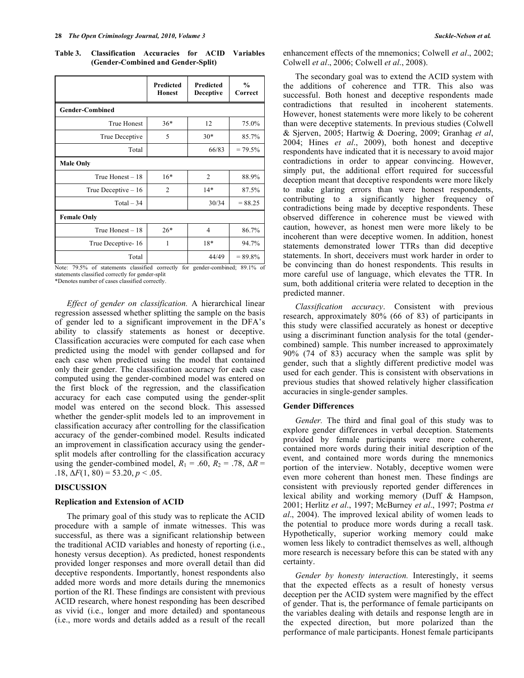**Table 3. Classification Accuracies for ACID Variables (Gender-Combined and Gender-Split)** 

|                        | Predicted<br>Honest | Predicted<br><b>Deceptive</b> | $\frac{0}{0}$<br>Correct |
|------------------------|---------------------|-------------------------------|--------------------------|
| <b>Gender-Combined</b> |                     |                               |                          |
| <b>True Honest</b>     | $36*$               | 12                            | 75.0%                    |
| True Deceptive         | 5                   | $30*$                         | 85.7%                    |
| Total                  |                     | 66/83                         | $= 79.5%$                |
| <b>Male Only</b>       |                     |                               |                          |
| True Honest $-18$      | $16*$               | $\overline{2}$                | 88.9%                    |
| True Deceptive $-16$   | $\overline{2}$      | $14*$                         | 87.5%                    |
| $Total - 34$           |                     | 30/34                         | $= 88.25$                |
| <b>Female Only</b>     |                     |                               |                          |
| True Honest - 18       | $26*$               | $\overline{4}$                | 86.7%                    |
| True Deceptive-16      | 1                   | 18*                           | 94.7%                    |
| Total                  |                     | 44/49                         | $= 89.8\%$               |

Note: 79.5% of statements classified correctly for gender-combined; 89.1% of statements classified correctly for gender-split

\*Denotes number of cases classified correctly.

*Effect of gender on classification.* A hierarchical linear regression assessed whether splitting the sample on the basis of gender led to a significant improvement in the DFA's ability to classify statements as honest or deceptive. Classification accuracies were computed for each case when predicted using the model with gender collapsed and for each case when predicted using the model that contained only their gender. The classification accuracy for each case computed using the gender-combined model was entered on the first block of the regression, and the classification accuracy for each case computed using the gender-split model was entered on the second block. This assessed whether the gender-split models led to an improvement in classification accuracy after controlling for the classification accuracy of the gender-combined model. Results indicated an improvement in classification accuracy using the gendersplit models after controlling for the classification accuracy using the gender-combined model,  $R_1 = .60$ ,  $R_2 = .78$ ,  $\Delta R =$ .18,  $\Delta F(1, 80) = 53.20, p < .05$ .

## **DISCUSSION**

### **Replication and Extension of ACID**

 The primary goal of this study was to replicate the ACID procedure with a sample of inmate witnesses. This was successful, as there was a significant relationship between the traditional ACID variables and honesty of reporting (i.e., honesty versus deception). As predicted, honest respondents provided longer responses and more overall detail than did deceptive respondents. Importantly, honest respondents also added more words and more details during the mnemonics portion of the RI. These findings are consistent with previous ACID research, where honest responding has been described as vivid (i.e., longer and more detailed) and spontaneous (i.e., more words and details added as a result of the recall

enhancement effects of the mnemonics; Colwell *et al*., 2002; Colwell *et al*., 2006; Colwell *et al*., 2008).

 The secondary goal was to extend the ACID system with the additions of coherence and TTR. This also was successful. Both honest and deceptive respondents made contradictions that resulted in incoherent statements. However, honest statements were more likely to be coherent than were deceptive statements. In previous studies (Colwell & Sjerven, 2005; Hartwig & Doering, 2009; Granhag *et al*, 2004; Hines *et al*., 2009), both honest and deceptive respondents have indicated that it is necessary to avoid major contradictions in order to appear convincing. However, simply put, the additional effort required for successful deception meant that deceptive respondents were more likely to make glaring errors than were honest respondents, contributing to a significantly higher frequency of contradictions being made by deceptive respondents. These observed difference in coherence must be viewed with caution, however, as honest men were more likely to be incoherent than were deceptive women. In addition, honest statements demonstrated lower TTRs than did deceptive statements. In short, deceivers must work harder in order to be convincing than do honest respondents. This results in more careful use of language, which elevates the TTR. In sum, both additional criteria were related to deception in the predicted manner.

 *Classification accuracy*. Consistent with previous research, approximately 80% (66 of 83) of participants in this study were classified accurately as honest or deceptive using a discriminant function analysis for the total (gendercombined) sample. This number increased to approximately 90% (74 of 83) accuracy when the sample was split by gender, such that a slightly different predictive model was used for each gender. This is consistent with observations in previous studies that showed relatively higher classification accuracies in single-gender samples.

#### **Gender Differences**

 *Gender.* The third and final goal of this study was to explore gender differences in verbal deception. Statements provided by female participants were more coherent, contained more words during their initial description of the event, and contained more words during the mnemonics portion of the interview. Notably, deceptive women were even more coherent than honest men. These findings are consistent with previously reported gender differences in lexical ability and working memory (Duff & Hampson, 2001; Herlitz *et al*., 1997; McBurney *et al*., 1997; Postma *et al*., 2004). The improved lexical ability of women leads to the potential to produce more words during a recall task. Hypothetically, superior working memory could make women less likely to contradict themselves as well, although more research is necessary before this can be stated with any certainty.

 *Gender by honesty interaction.* Interestingly, it seems that the expected effects as a result of honesty versus deception per the ACID system were magnified by the effect of gender. That is, the performance of female participants on the variables dealing with details and response length are in the expected direction, but more polarized than the performance of male participants. Honest female participants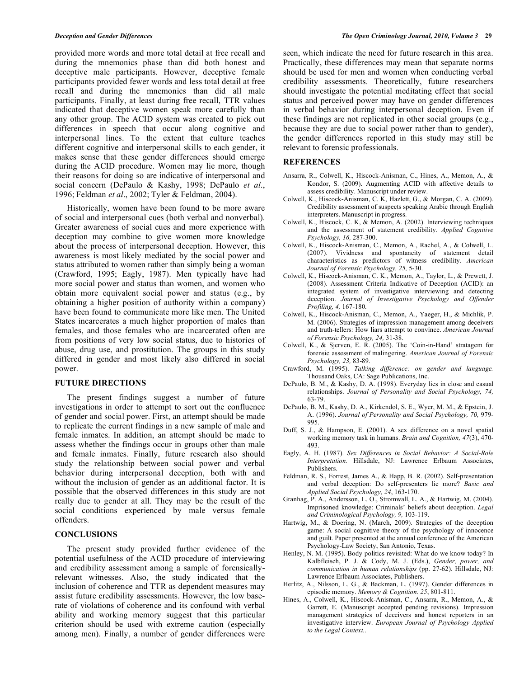provided more words and more total detail at free recall and during the mnemonics phase than did both honest and deceptive male participants. However, deceptive female participants provided fewer words and less total detail at free recall and during the mnemonics than did all male participants. Finally, at least during free recall, TTR values indicated that deceptive women speak more carefully than any other group. The ACID system was created to pick out differences in speech that occur along cognitive and interpersonal lines. To the extent that culture teaches different cognitive and interpersonal skills to each gender, it makes sense that these gender differences should emerge during the ACID procedure. Women may lie more, though their reasons for doing so are indicative of interpersonal and social concern (DePaulo & Kashy, 1998; DePaulo *et al*., 1996; Feldman *et al*., 2002; Tyler & Feldman, 2004).

 Historically, women have been found to be more aware of social and interpersonal cues (both verbal and nonverbal). Greater awareness of social cues and more experience with deception may combine to give women more knowledge about the process of interpersonal deception. However, this awareness is most likely mediated by the social power and status attributed to women rather than simply being a woman (Crawford, 1995; Eagly, 1987). Men typically have had more social power and status than women, and women who obtain more equivalent social power and status (e.g., by obtaining a higher position of authority within a company) have been found to communicate more like men. The United States incarcerates a much higher proportion of males than females, and those females who are incarcerated often are from positions of very low social status, due to histories of abuse, drug use, and prostitution. The groups in this study differed in gender and most likely also differed in social power.

### **FUTURE DIRECTIONS**

 The present findings suggest a number of future investigations in order to attempt to sort out the confluence of gender and social power. First, an attempt should be made to replicate the current findings in a new sample of male and female inmates. In addition, an attempt should be made to assess whether the findings occur in groups other than male and female inmates. Finally, future research also should study the relationship between social power and verbal behavior during interpersonal deception, both with and without the inclusion of gender as an additional factor. It is possible that the observed differences in this study are not really due to gender at all. They may be the result of the social conditions experienced by male versus female offenders.

# **CONCLUSIONS**

 The present study provided further evidence of the potential usefulness of the ACID procedure of interviewing and credibility assessment among a sample of forensicallyrelevant witnesses. Also, the study indicated that the inclusion of coherence and TTR as dependent measures may assist future credibility assessments. However, the low baserate of violations of coherence and its confound with verbal ability and working memory suggest that this particular criterion should be used with extreme caution (especially among men). Finally, a number of gender differences were

seen, which indicate the need for future research in this area. Practically, these differences may mean that separate norms should be used for men and women when conducting verbal credibility assessments. Theoretically, future researchers should investigate the potential meditating effect that social status and perceived power may have on gender differences in verbal behavior during interpersonal deception. Even if these findings are not replicated in other social groups (e.g., because they are due to social power rather than to gender), the gender differences reported in this study may still be relevant to forensic professionals.

#### **REFERENCES**

- Ansarra, R., Colwell, K., Hiscock-Anisman, C., Hines, A., Memon, A., & Kondor, S. (2009). Augmenting ACID with affective details to assess credibility. Manuscript under review.
- Colwell, K., Hiscock-Anisman, C. K, Hazlett, G., & Morgan, C. A. (2009). Credibility assessment of suspects speaking Arabic through English interpreters. Manuscript in progress.
- Colwell, K., Hiscock, C. K, & Memon, A. (2002). Interviewing techniques and the assessment of statement credibility. *Applied Cognitive Psychology, 16,* 287-300.
- Colwell, K., Hiscock-Anisman, C., Memon, A., Rachel, A., & Colwell, L. (2007). Vividness and spontaneity of statement detail characteristics as predictors of witness credibility. *American Journal of Forensic Psychology, 25,* 5-30.
- Colwell, K., Hiscock-Anisman, C. K., Memon, A., Taylor, L., & Prewett, J. (2008). Assessment Criteria Indicative of Deception (ACID): an integrated system of investigative interviewing and detecting deception. *Journal of Investigative Psychology and Offender Profiling, 4,* 167-180*.*
- Colwell, K., Hiscock-Anisman, C., Memon, A., Yaeger, H., & Michlik, P. M. (2006). Strategies of impression management among deceivers and truth-tellers: How liars attempt to convince. *American Journal of Forensic Psychology, 24,* 31-38.
- Colwell, K., & Sjerven, E. R. (2005). The 'Coin-in-Hand' stratagem for forensic assessment of malingering. *American Journal of Forensic Psychology, 23,* 83-89*.*
- Crawford, M. (1995). *Talking difference: on gender and language.* Thousand Oaks, CA: Sage Publications, Inc.
- DePaulo, B. M., & Kashy, D. A. (1998). Everyday lies in close and casual relationships. *Journal of Personality and Social Psychology, 74,*  63-79.
- DePaulo, B. M., Kashy, D. A., Kirkendol, S. E., Wyer, M. M., & Epstein, J. A. (1996). *Journal of Personality and Social Psychology, 70,* 979- 995.
- Duff, S. J., & Hampson, E. (2001). A sex difference on a novel spatial working memory task in humans. *Brain and Cognition, 47*(3), 470- 493.
- Eagly, A. H. (1987). *Sex Differences in Social Behavior: A Social-Role Interpretation.* Hillsdale, NJ: Lawrence Erlbaum Associates, Publishers.
- Feldman, R. S., Forrest, James A., & Happ, B. R. (2002). Self-presentation and verbal deception: Do self-presenters lie more? *Basic and Applied Social Psychology, 24*, 163-170.
- Granhag, P. A., Andersson, L. O., Stromwall, L. A., & Hartwig, M. (2004). Imprisoned knowledge: Criminals' beliefs about deception. *Legal and Criminological Psychology, 9,* 103-119.
- Hartwig, M., & Doering, N. (March, 2009). Strategies of the deception game: A social cognitive theory of the psychology of innocence and guilt. Paper presented at the annual conference of the American Psychology-Law Society, San Antonio, Texas.
- Henley, N. M. (1995). Body politics revisited: What do we know today? In Kalbfleisch, P. J. & Cody, M. J. (Eds.), *Gender, power, and communication in human relationships* (pp. 27-62). Hillsdale, NJ: Lawrence Erlbaum Associates, Publishers.
- Herlitz, A., Nilsson, L. G., & Backman, L. (1997). Gender differences in episodic memory. *Memory & Cognition. 25*, 801-811.
- Hines, A., Colwell, K., Hiscock-Anisman, C., Ansarra, R., Memon, A., & Garrett, E. (Manuscript accepted pending revisions). Impression management strategies of deceivers and honest reporters in an investigative interview. *European Journal of Psychology Applied to the Legal Context.*.